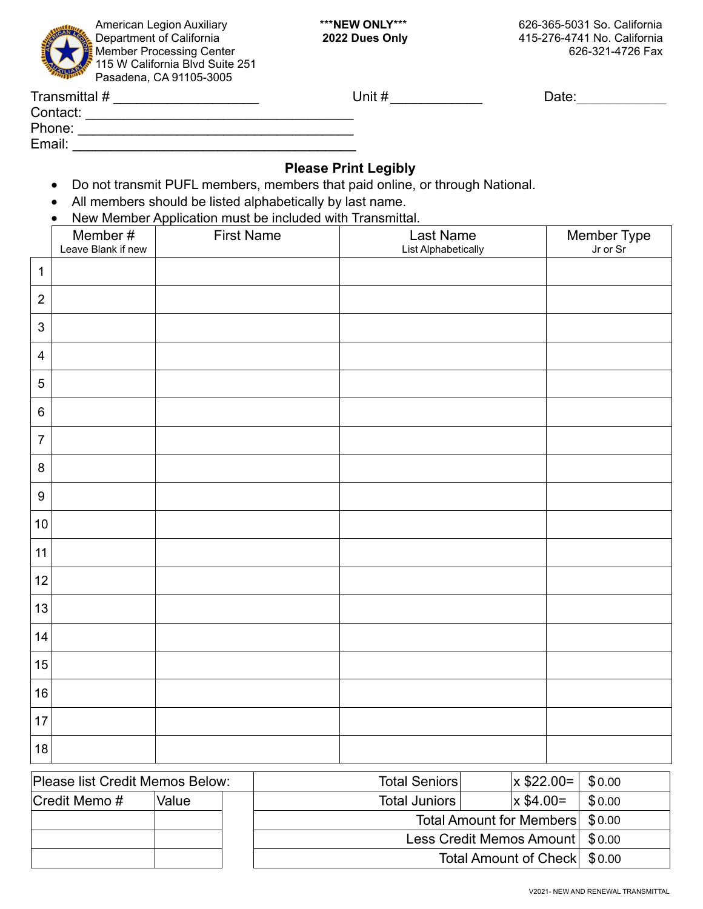

Department of California **2022 Dues Only** 415-276-4741 No. California

| Transmittal # | Unit # | Date: |
|---------------|--------|-------|
| Contact:      |        |       |
| Phone:        |        |       |
| Email:        |        |       |

### **Please Print Legibly**

- Do not transmit PUFL members, members that paid online, or through National.
- All members should be listed alphabetically by last name.
- New Member Application must be included with Transmittal.

|                  | Member #<br>Leave Blank if new | <b>TVCW MCHIDCI Application must be included with Hanshifted.</b><br><b>First Name</b> | Last Name<br><b>List Alphabetically</b> | Member Type<br>Jr or Sr |
|------------------|--------------------------------|----------------------------------------------------------------------------------------|-----------------------------------------|-------------------------|
| $\mathbf{1}$     |                                |                                                                                        |                                         |                         |
| $\overline{2}$   |                                |                                                                                        |                                         |                         |
|                  |                                |                                                                                        |                                         |                         |
| $\sqrt{3}$       |                                |                                                                                        |                                         |                         |
| $\overline{4}$   |                                |                                                                                        |                                         |                         |
| 5                |                                |                                                                                        |                                         |                         |
| $\,6\,$          |                                |                                                                                        |                                         |                         |
| $\overline{7}$   |                                |                                                                                        |                                         |                         |
| $\,8\,$          |                                |                                                                                        |                                         |                         |
| $\boldsymbol{9}$ |                                |                                                                                        |                                         |                         |
| $10\,$           |                                |                                                                                        |                                         |                         |
| 11               |                                |                                                                                        |                                         |                         |
| 12               |                                |                                                                                        |                                         |                         |
| 13               |                                |                                                                                        |                                         |                         |
| 14               |                                |                                                                                        |                                         |                         |
| 15               |                                |                                                                                        |                                         |                         |
| 16               |                                |                                                                                        |                                         |                         |
| 17               |                                |                                                                                        |                                         |                         |
| 18               |                                |                                                                                        |                                         |                         |

| Please list Credit Memos Below: |       | <b>Total Seniors</b>                                                                                  | $x$ \$22.00= | \$0.00 |
|---------------------------------|-------|-------------------------------------------------------------------------------------------------------|--------------|--------|
| $ C$ redit Memo #               | Value | Total Juniors                                                                                         | $x$ \$4.00=  | \$0.00 |
|                                 |       | Total Amount for Members \$0.00<br>Less Credit Memos Amount   \$0.00<br>Total Amount of Check \\$0.00 |              |        |
|                                 |       |                                                                                                       |              |        |
|                                 |       |                                                                                                       |              |        |